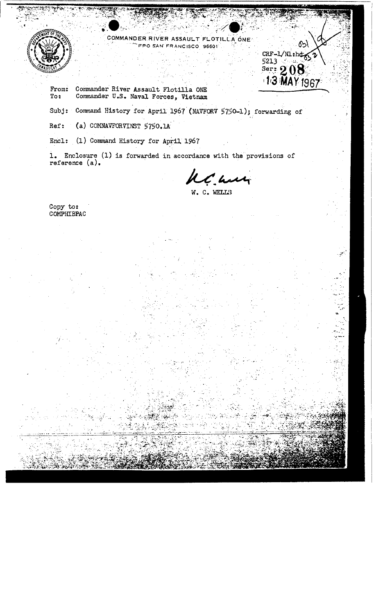



Commander River Assault Flotilla ONE From: Commander U.S. Naval Forces, Vietnam To:

Subj: Command History for April 1967 (NAVFORV 5750-1); forwarding of

 $Ref:$ (a) COMNAVFORVINST 5750.1A

Encl: (1) Command History for April 1967

1. Enclosure (1) is forwarded in accordance with the provisions of reference (a).

ht we

৫১\

CRF-1/Nl:hd  $5213$ 

 $58$ er: 208

W. C. WELLS

Copy to:<br>COMPHIBPAC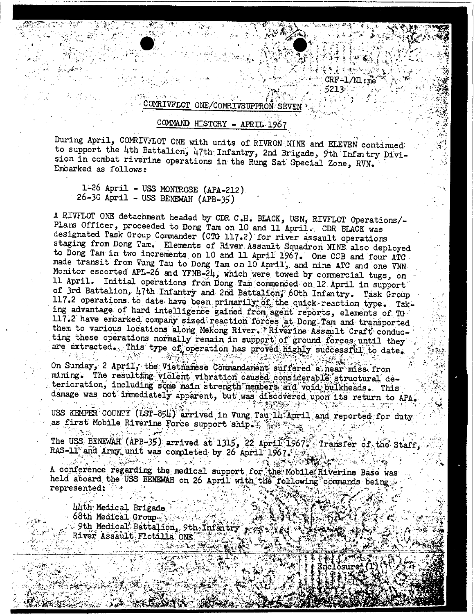;:tc1;~l~;~::;\' :;t , '.' ; .: 521J»: ';" '" ,.' ."\ . '.' lI~:;~}c,,:,;, /". n . : .)" "'~: j /~. , ... ' .

i',

 $\cdot$  .  $\cdot$   $\cdot$   $\cdot$ ,

, ,.

. )r. 1:2

## COMRIVFLOT ONE/COMRIVSUPPRON SEVEN

## COMMAND HISTORY - APRIL. 1967

During April, COMRIVFLOT ONE with units of RIVRON NINE and ELEVEN continued: to support the 4th Battalion, 47th Infantry, 2nd Brigade, 9th Infantry Division in combat riverine operations in the Rung Sat' Special Zone, *RVN.* " Embarked as follows:

1~26 April - U33 MONTROSE (APA-212) 26-JO April - U33 BENEWAH (APB-J5)

· '

 $\mathcal{L}^{(1,1)}_{\mathcal{L}^{(1,1)}}$ ,.

 $\mathcal{L}^{\mathcal{P}}(\mathcal{C}) \rightarrow \mathcal{L}^{\mathcal{P}}(\mathcal{C})$ 

LJ··;:::,".:., •. ;~{t~i;:<t.:~;::·)': *. ."c":"j.,!"* 

·

 $~\cdot~$   $~\cdot~$ 

A RIVFLOT ONE detachment headed by CDR C.H. BLACK, USN, RIVFLOT Operations/-Plars Officer, proceeded to Dong Tam on 10 and 11 April. CDR BLACK was designated Task Group Commander (CTG 117.2) for river assault operations staging from Dong Tam. Elements of River Assault· Squadrori NINE also deployed to Dong Tam in two increments on 10 and 11 April 1967. One CCB and four ATC made transit from Vung Tau to Dong Tam on 10 April, and nine ATC and one VNN Monitor escorted APL-26 and YFNB-24, which were towed by commercial tugs, on 11 April. Initial operations from Dong Tam commenced on 12 April in support of 3rd Battalion, 47th Infantry and 2nd Battalion, 60th Infantry. Task Group 117.2 operations to date have been primarily; of the quick reaction type. Taking advantage of hard intelligence gained from agent reports, elements of TG· 117.2 have embarked company sized reaction forces at Dong Tam and transported them to various locations along Mekong River. Riverine Assault Craft conducting these operations normally remain in support of ground forces until they are extracted. This type of operation has proved highly successful to date.  $\left\langle \cdot \right\rangle$  $\mathcal{L} \subset \mathcal{L} \subset \mathcal{L} \subset \mathcal{L} \subset \mathcal{L} \subset \mathcal{L} \subset \mathcal{L} \subset \mathcal{L} \subset \mathcal{L} \subset \mathcal{L} \subset \mathcal{L} \subset \mathcal{L} \subset \mathcal{L} \subset \mathcal{L} \subset \mathcal{L} \subset \mathcal{L} \subset \mathcal{L} \subset \mathcal{L} \subset \mathcal{L} \subset \mathcal{L} \subset \mathcal{L} \subset \mathcal{L} \subset \mathcal{L} \subset \mathcal{L} \subset \mathcal{L} \subset \mathcal{L} \subset \mathcal{L} \subset \mathcal{$ 

On Sunday, 2 April, the Vietnamese Commandament suffered a near miss from mining. The resulting violent vibration caused commidderable structural deterioration, including some main strength members and void bulkheads. This damage was not immediately apparent, but was discovered upon its return to APA.

USS KEMPER COUNIT (LST-854) arrived in Vung Tau 14 April and reported for duty as first Mobile Riverine Force support ship.:.  $\frac{1}{2}$ 

The USS BENEWAH (APB-35) arrived at 1315, 22 April 1967; Transfer of the Staff, RAS-11 and Army unit was completed by 26 April 1967. TA KABUPATEN JARAT KACAMATAN

 $\mathcal{L}=\mathcal{L}$  , and  $\mathcal{L}=\mathcal{L}$ A conference regarding the medical support for the Mobile Riverine Base was held aboard the USS BENEWAH on 26 April with the following commands being represented:

luth Medical Brigade  $\sim$  68th Medical Group  $\sim$ 9th Medical Battalion, 9th-Infantry River Assault Flotilla ONE